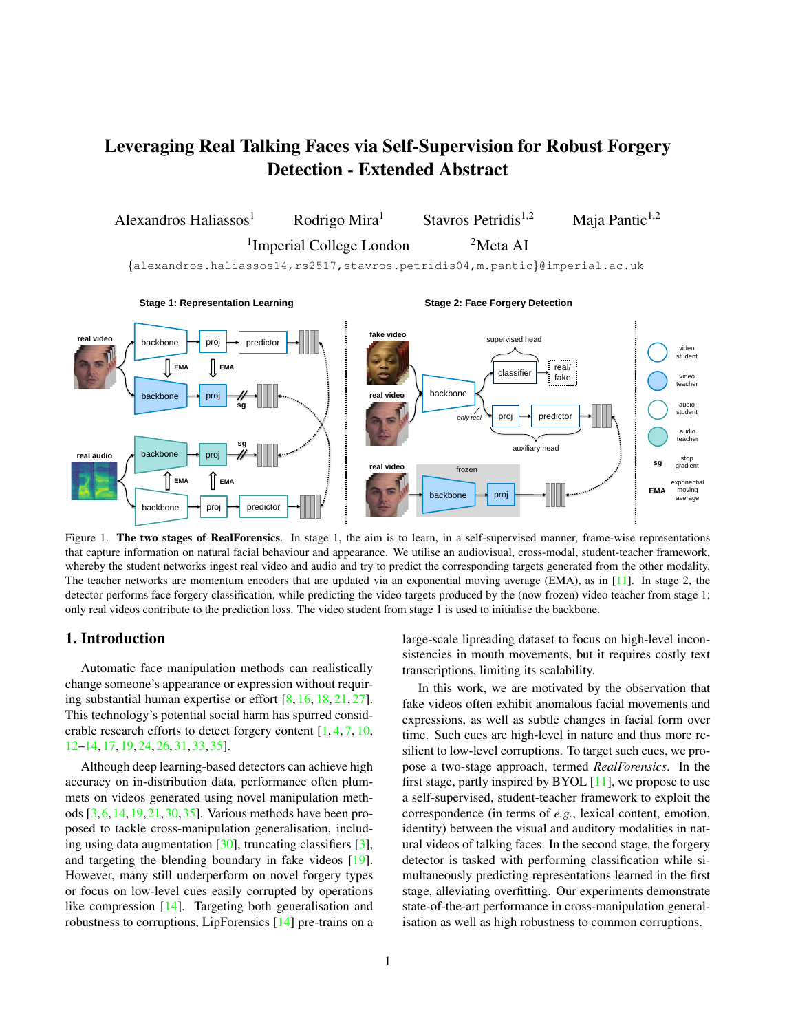# <span id="page-0-1"></span>Leveraging Real Talking Faces via Self-Supervision for Robust Forgery Detection - Extended Abstract

Alexandros Haliassos<sup>1</sup> Rodrigo Mira<sup>1</sup> Stavros Petridis<sup>1,2</sup> Maja Pantic<sup>1,2</sup>

<sup>1</sup>Imperial College London <sup>2</sup>Meta AI

{alexandros.haliassos14,rs2517,stavros.petridis04,m.pantic}@imperial.ac.uk

**Stage 1: Representation Learning Stage 2: Face Forgery Detection**

<span id="page-0-0"></span>

Figure 1. The two stages of RealForensics. In stage 1, the aim is to learn, in a self-supervised manner, frame-wise representations that capture information on natural facial behaviour and appearance. We utilise an audiovisual, cross-modal, student-teacher framework, whereby the student networks ingest real video and audio and try to predict the corresponding targets generated from the other modality. The teacher networks are momentum encoders that are updated via an exponential moving average (EMA), as in [\[11\]](#page-2-0). In stage 2, the detector performs face forgery classification, while predicting the video targets produced by the (now frozen) video teacher from stage 1; only real videos contribute to the prediction loss. The video student from stage 1 is used to initialise the backbone.

## 1. Introduction

Automatic face manipulation methods can realistically change someone's appearance or expression without requiring substantial human expertise or effort [\[8,](#page-2-1) [16,](#page-2-2) [18,](#page-2-3) [21,](#page-2-4) [27\]](#page-3-0). This technology's potential social harm has spurred considerable research efforts to detect forgery content  $[1, 4, 7, 10, 10]$  $[1, 4, 7, 10, 10]$  $[1, 4, 7, 10, 10]$  $[1, 4, 7, 10, 10]$  $[1, 4, 7, 10, 10]$  $[1, 4, 7, 10, 10]$  $[1, 4, 7, 10, 10]$  $[1, 4, 7, 10, 10]$ [12](#page-2-9)[–14,](#page-2-10) [17,](#page-2-11) [19,](#page-2-12) [24,](#page-3-1) [26,](#page-3-2) [31,](#page-3-3) [33,](#page-3-4) [35\]](#page-3-5).

Although deep learning-based detectors can achieve high accuracy on in-distribution data, performance often plummets on videos generated using novel manipulation methods [\[3,](#page-2-13)[6,](#page-2-14)[14,](#page-2-10)[19,](#page-2-12)[21,](#page-2-4)[30,](#page-3-6)[35\]](#page-3-5). Various methods have been proposed to tackle cross-manipulation generalisation, including using data augmentation [\[30\]](#page-3-6), truncating classifiers [\[3\]](#page-2-13), and targeting the blending boundary in fake videos [\[19\]](#page-2-12). However, many still underperform on novel forgery types or focus on low-level cues easily corrupted by operations like compression [\[14\]](#page-2-10). Targeting both generalisation and robustness to corruptions, LipForensics [\[14\]](#page-2-10) pre-trains on a large-scale lipreading dataset to focus on high-level inconsistencies in mouth movements, but it requires costly text transcriptions, limiting its scalability.

In this work, we are motivated by the observation that fake videos often exhibit anomalous facial movements and expressions, as well as subtle changes in facial form over time. Such cues are high-level in nature and thus more resilient to low-level corruptions. To target such cues, we propose a two-stage approach, termed *RealForensics*. In the first stage, partly inspired by BYOL  $[11]$ , we propose to use a self-supervised, student-teacher framework to exploit the correspondence (in terms of *e.g.*, lexical content, emotion, identity) between the visual and auditory modalities in natural videos of talking faces. In the second stage, the forgery detector is tasked with performing classification while simultaneously predicting representations learned in the first stage, alleviating overfitting. Our experiments demonstrate state-of-the-art performance in cross-manipulation generalisation as well as high robustness to common corruptions.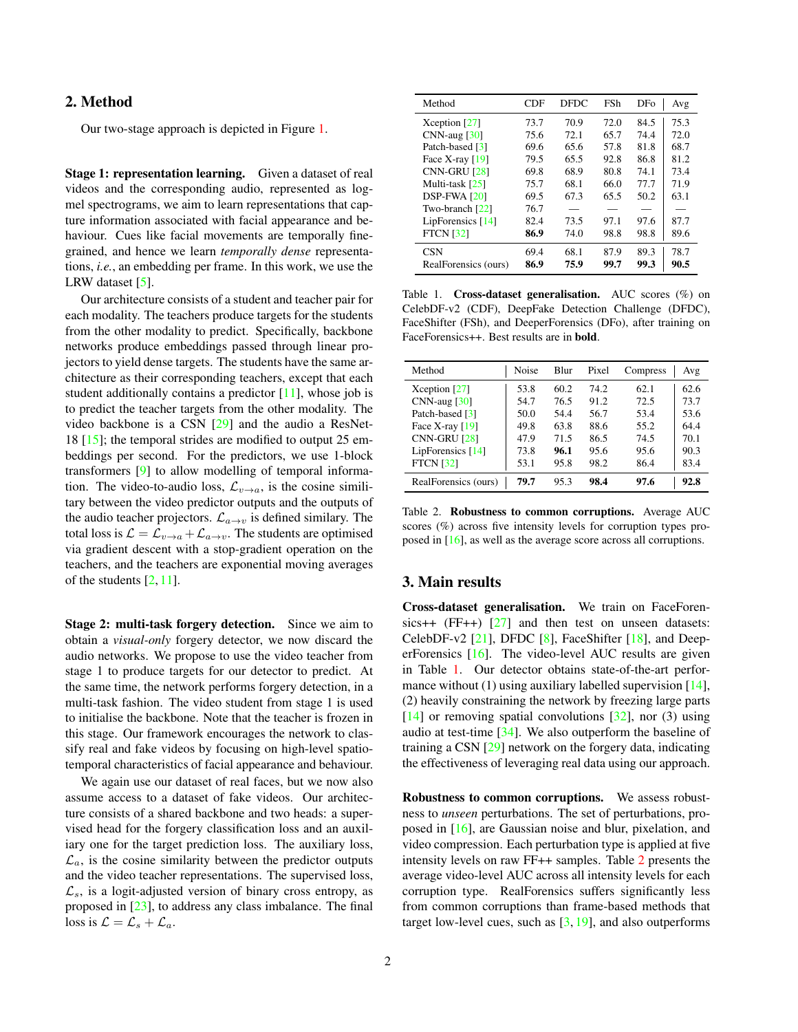# <span id="page-1-2"></span>2. Method

Our two-stage approach is depicted in Figure [1.](#page-0-0)

Stage 1: representation learning. Given a dataset of real videos and the corresponding audio, represented as logmel spectrograms, we aim to learn representations that capture information associated with facial appearance and behaviour. Cues like facial movements are temporally finegrained, and hence we learn *temporally dense* representations, *i.e.*, an embedding per frame. In this work, we use the LRW dataset [\[5\]](#page-2-15).

Our architecture consists of a student and teacher pair for each modality. The teachers produce targets for the students from the other modality to predict. Specifically, backbone networks produce embeddings passed through linear projectors to yield dense targets. The students have the same architecture as their corresponding teachers, except that each student additionally contains a predictor [\[11\]](#page-2-0), whose job is to predict the teacher targets from the other modality. The video backbone is a CSN [\[29\]](#page-3-7) and the audio a ResNet-18 [\[15\]](#page-2-16); the temporal strides are modified to output 25 embeddings per second. For the predictors, we use 1-block transformers [\[9\]](#page-2-17) to allow modelling of temporal information. The video-to-audio loss,  $\mathcal{L}_{v\to a}$ , is the cosine similitary between the video predictor outputs and the outputs of the audio teacher projectors.  $\mathcal{L}_{a\to v}$  is defined similary. The total loss is  $\mathcal{L} = \mathcal{L}_{v \to a} + \mathcal{L}_{a \to v}$ . The students are optimised via gradient descent with a stop-gradient operation on the teachers, and the teachers are exponential moving averages of the students  $[2, 11]$  $[2, 11]$  $[2, 11]$ .

Stage 2: multi-task forgery detection. Since we aim to obtain a *visual-only* forgery detector, we now discard the audio networks. We propose to use the video teacher from stage 1 to produce targets for our detector to predict. At the same time, the network performs forgery detection, in a multi-task fashion. The video student from stage 1 is used to initialise the backbone. Note that the teacher is frozen in this stage. Our framework encourages the network to classify real and fake videos by focusing on high-level spatiotemporal characteristics of facial appearance and behaviour.

We again use our dataset of real faces, but we now also assume access to a dataset of fake videos. Our architecture consists of a shared backbone and two heads: a supervised head for the forgery classification loss and an auxiliary one for the target prediction loss. The auxiliary loss,  $\mathcal{L}_a$ , is the cosine similarity between the predictor outputs and the video teacher representations. The supervised loss,  $\mathcal{L}_s$ , is a logit-adjusted version of binary cross entropy, as proposed in [\[23\]](#page-3-8), to address any class imbalance. The final loss is  $\mathcal{L} = \mathcal{L}_s + \mathcal{L}_a$ .

<span id="page-1-0"></span>

| Method               | CDF  | <b>DFDC</b> | <b>FSh</b> | DFo  | Avg  |
|----------------------|------|-------------|------------|------|------|
| Xception [27]        | 73.7 | 70.9        | 72.0       | 84.5 | 75.3 |
| $CNN$ -aug [30]      | 75.6 | 72.1        | 65.7       | 74.4 | 72.0 |
| Patch-based [3]      | 69.6 | 65.6        | 57.8       | 81.8 | 68.7 |
| Face X-ray $[19]$    | 79.5 | 65.5        | 92.8       | 86.8 | 81.2 |
| <b>CNN-GRU [28]</b>  | 69.8 | 68.9        | 80.8       | 74.1 | 73.4 |
| Multi-task [25]      | 75.7 | 68.1        | 66.0       | 77.7 | 71.9 |
| DSP-FWA [20]         | 69.5 | 67.3        | 65.5       | 50.2 | 63.1 |
| Two-branch $[22]$    | 76.7 |             |            |      |      |
| LipForensics [14]    | 82.4 | 73.5        | 97.1       | 97.6 | 87.7 |
| <b>FTCN</b> [32]     | 86.9 | 74.0        | 98.8       | 98.8 | 89.6 |
| <b>CSN</b>           | 69.4 | 68.1        | 87.9       | 89.3 | 78.7 |
| RealForensics (ours) | 86.9 | 75.9        | 99.7       | 99.3 | 90.5 |

Table 1. Cross-dataset generalisation. AUC scores (%) on CelebDF-v2 (CDF), DeepFake Detection Challenge (DFDC), FaceShifter (FSh), and DeeperForensics (DFo), after training on FaceForensics++. Best results are in bold.

<span id="page-1-1"></span>

| Method               | Noise | Blur | Pixel | Compress | Avg  |
|----------------------|-------|------|-------|----------|------|
| Xception [27]        | 53.8  | 60.2 | 74.2  | 62.1     | 62.6 |
| $CNN$ -aug [ $30$ ]  | 54.7  | 76.5 | 91.2  | 72.5     | 73.7 |
| Patch-based [3]      | 50.0  | 54.4 | 56.7  | 53.4     | 53.6 |
| Face X-ray $[19]$    | 49.8  | 63.8 | 88.6  | 55.2     | 64.4 |
| <b>CNN-GRU [28]</b>  | 47.9  | 71.5 | 86.5  | 74.5     | 70.1 |
| LipForensics [14]    | 73.8  | 96.1 | 95.6  | 95.6     | 90.3 |
| <b>FTCN</b> [32]     | 53.1  | 95.8 | 98.2  | 86.4     | 83.4 |
| RealForensics (ours) | 79.7  | 95.3 | 98.4  | 97.6     | 92.8 |

Table 2. Robustness to common corruptions. Average AUC scores (%) across five intensity levels for corruption types proposed in [\[16\]](#page-2-2), as well as the average score across all corruptions.

#### 3. Main results

Cross-dataset generalisation. We train on FaceForen-sics++ (FF++) [\[27\]](#page-3-0) and then test on unseen datasets: CelebDF-v2 [\[21\]](#page-2-4), DFDC [\[8\]](#page-2-1), FaceShifter [\[18\]](#page-2-3), and DeeperForensics [\[16\]](#page-2-2). The video-level AUC results are given in Table [1.](#page-1-0) Our detector obtains state-of-the-art performance without  $(1)$  using auxiliary labelled supervision  $[14]$ , (2) heavily constraining the network by freezing large parts [\[14\]](#page-2-10) or removing spatial convolutions [\[32\]](#page-3-12), nor (3) using audio at test-time [\[34\]](#page-3-13). We also outperform the baseline of training a CSN [\[29\]](#page-3-7) network on the forgery data, indicating the effectiveness of leveraging real data using our approach.

Robustness to common corruptions. We assess robustness to *unseen* perturbations. The set of perturbations, proposed in [\[16\]](#page-2-2), are Gaussian noise and blur, pixelation, and video compression. Each perturbation type is applied at five intensity levels on raw FF++ samples. Table [2](#page-1-1) presents the average video-level AUC across all intensity levels for each corruption type. RealForensics suffers significantly less from common corruptions than frame-based methods that target low-level cues, such as  $[3, 19]$  $[3, 19]$  $[3, 19]$ , and also outperforms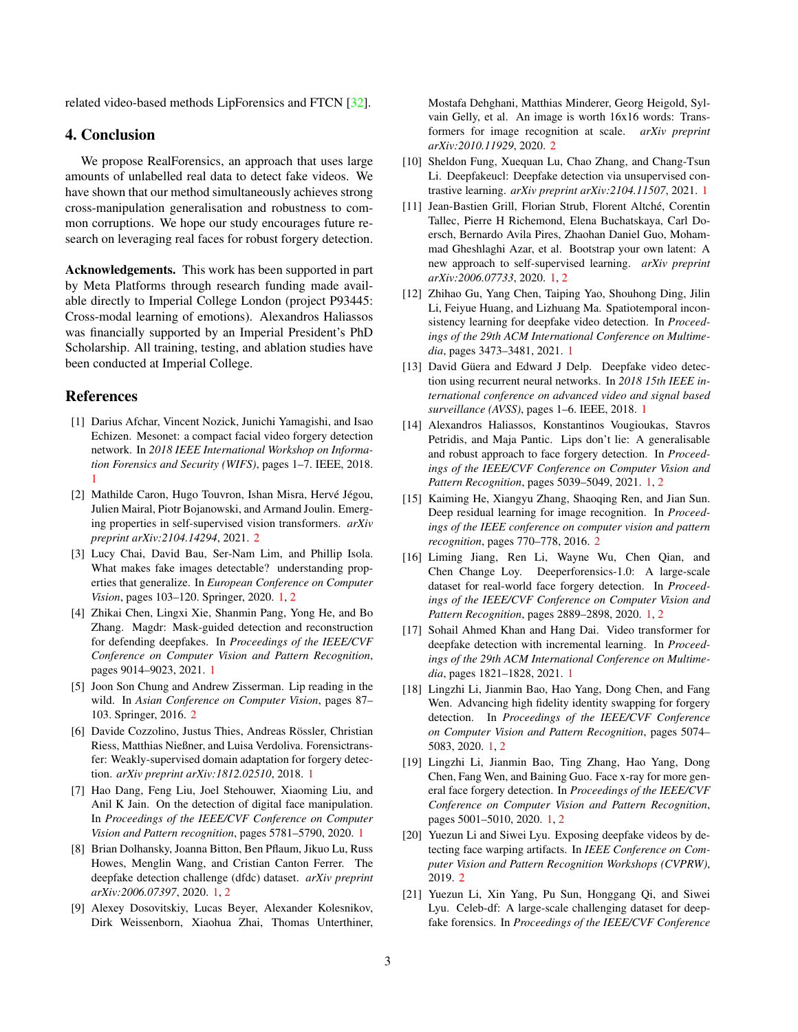<span id="page-2-20"></span>related video-based methods LipForensics and FTCN [\[32\]](#page-3-12).

### 4. Conclusion

We propose RealForensics, an approach that uses large amounts of unlabelled real data to detect fake videos. We have shown that our method simultaneously achieves strong cross-manipulation generalisation and robustness to common corruptions. We hope our study encourages future research on leveraging real faces for robust forgery detection.

Acknowledgements. This work has been supported in part by Meta Platforms through research funding made available directly to Imperial College London (project P93445: Cross-modal learning of emotions). Alexandros Haliassos was financially supported by an Imperial President's PhD Scholarship. All training, testing, and ablation studies have been conducted at Imperial College.

#### References

- <span id="page-2-5"></span>[1] Darius Afchar, Vincent Nozick, Junichi Yamagishi, and Isao Echizen. Mesonet: a compact facial video forgery detection network. In *2018 IEEE International Workshop on Information Forensics and Security (WIFS)*, pages 1–7. IEEE, 2018. [1](#page-0-1)
- <span id="page-2-18"></span>[2] Mathilde Caron, Hugo Touvron, Ishan Misra, Hervé Jégou, Julien Mairal, Piotr Bojanowski, and Armand Joulin. Emerging properties in self-supervised vision transformers. *arXiv preprint arXiv:2104.14294*, 2021. [2](#page-1-2)
- <span id="page-2-13"></span>[3] Lucy Chai, David Bau, Ser-Nam Lim, and Phillip Isola. What makes fake images detectable? understanding properties that generalize. In *European Conference on Computer Vision*, pages 103–120. Springer, 2020. [1,](#page-0-1) [2](#page-1-2)
- <span id="page-2-6"></span>[4] Zhikai Chen, Lingxi Xie, Shanmin Pang, Yong He, and Bo Zhang. Magdr: Mask-guided detection and reconstruction for defending deepfakes. In *Proceedings of the IEEE/CVF Conference on Computer Vision and Pattern Recognition*, pages 9014–9023, 2021. [1](#page-0-1)
- <span id="page-2-15"></span>[5] Joon Son Chung and Andrew Zisserman. Lip reading in the wild. In *Asian Conference on Computer Vision*, pages 87– 103. Springer, 2016. [2](#page-1-2)
- <span id="page-2-14"></span>[6] Davide Cozzolino, Justus Thies, Andreas Rössler, Christian Riess, Matthias Nießner, and Luisa Verdoliva. Forensictransfer: Weakly-supervised domain adaptation for forgery detection. *arXiv preprint arXiv:1812.02510*, 2018. [1](#page-0-1)
- <span id="page-2-7"></span>[7] Hao Dang, Feng Liu, Joel Stehouwer, Xiaoming Liu, and Anil K Jain. On the detection of digital face manipulation. In *Proceedings of the IEEE/CVF Conference on Computer Vision and Pattern recognition*, pages 5781–5790, 2020. [1](#page-0-1)
- <span id="page-2-1"></span>[8] Brian Dolhansky, Joanna Bitton, Ben Pflaum, Jikuo Lu, Russ Howes, Menglin Wang, and Cristian Canton Ferrer. The deepfake detection challenge (dfdc) dataset. *arXiv preprint arXiv:2006.07397*, 2020. [1,](#page-0-1) [2](#page-1-2)
- <span id="page-2-17"></span>[9] Alexey Dosovitskiy, Lucas Beyer, Alexander Kolesnikov, Dirk Weissenborn, Xiaohua Zhai, Thomas Unterthiner,

Mostafa Dehghani, Matthias Minderer, Georg Heigold, Sylvain Gelly, et al. An image is worth 16x16 words: Transformers for image recognition at scale. *arXiv preprint arXiv:2010.11929*, 2020. [2](#page-1-2)

- <span id="page-2-8"></span>[10] Sheldon Fung, Xuequan Lu, Chao Zhang, and Chang-Tsun Li. Deepfakeucl: Deepfake detection via unsupervised contrastive learning. *arXiv preprint arXiv:2104.11507*, 2021. [1](#page-0-1)
- <span id="page-2-0"></span>[11] Jean-Bastien Grill, Florian Strub, Florent Altché, Corentin Tallec, Pierre H Richemond, Elena Buchatskaya, Carl Doersch, Bernardo Avila Pires, Zhaohan Daniel Guo, Mohammad Gheshlaghi Azar, et al. Bootstrap your own latent: A new approach to self-supervised learning. *arXiv preprint arXiv:2006.07733*, 2020. [1,](#page-0-1) [2](#page-1-2)
- <span id="page-2-9"></span>[12] Zhihao Gu, Yang Chen, Taiping Yao, Shouhong Ding, Jilin Li, Feiyue Huang, and Lizhuang Ma. Spatiotemporal inconsistency learning for deepfake video detection. In *Proceedings of the 29th ACM International Conference on Multimedia*, pages 3473–3481, 2021. [1](#page-0-1)
- [13] David Güera and Edward J Delp. Deepfake video detection using recurrent neural networks. In *2018 15th IEEE international conference on advanced video and signal based surveillance (AVSS)*, pages 1–6. IEEE, 2018. [1](#page-0-1)
- <span id="page-2-10"></span>[14] Alexandros Haliassos, Konstantinos Vougioukas, Stavros Petridis, and Maja Pantic. Lips don't lie: A generalisable and robust approach to face forgery detection. In *Proceedings of the IEEE/CVF Conference on Computer Vision and Pattern Recognition*, pages 5039–5049, 2021. [1,](#page-0-1) [2](#page-1-2)
- <span id="page-2-16"></span>[15] Kaiming He, Xiangyu Zhang, Shaoqing Ren, and Jian Sun. Deep residual learning for image recognition. In *Proceedings of the IEEE conference on computer vision and pattern recognition*, pages 770–778, 2016. [2](#page-1-2)
- <span id="page-2-2"></span>[16] Liming Jiang, Ren Li, Wayne Wu, Chen Qian, and Chen Change Loy. Deeperforensics-1.0: A large-scale dataset for real-world face forgery detection. In *Proceedings of the IEEE/CVF Conference on Computer Vision and Pattern Recognition*, pages 2889–2898, 2020. [1,](#page-0-1) [2](#page-1-2)
- <span id="page-2-11"></span>[17] Sohail Ahmed Khan and Hang Dai. Video transformer for deepfake detection with incremental learning. In *Proceedings of the 29th ACM International Conference on Multimedia*, pages 1821–1828, 2021. [1](#page-0-1)
- <span id="page-2-3"></span>[18] Lingzhi Li, Jianmin Bao, Hao Yang, Dong Chen, and Fang Wen. Advancing high fidelity identity swapping for forgery detection. In *Proceedings of the IEEE/CVF Conference on Computer Vision and Pattern Recognition*, pages 5074– 5083, 2020. [1,](#page-0-1) [2](#page-1-2)
- <span id="page-2-12"></span>[19] Lingzhi Li, Jianmin Bao, Ting Zhang, Hao Yang, Dong Chen, Fang Wen, and Baining Guo. Face x-ray for more general face forgery detection. In *Proceedings of the IEEE/CVF Conference on Computer Vision and Pattern Recognition*, pages 5001–5010, 2020. [1,](#page-0-1) [2](#page-1-2)
- <span id="page-2-19"></span>[20] Yuezun Li and Siwei Lyu. Exposing deepfake videos by detecting face warping artifacts. In *IEEE Conference on Computer Vision and Pattern Recognition Workshops (CVPRW)*, 2019. [2](#page-1-2)
- <span id="page-2-4"></span>[21] Yuezun Li, Xin Yang, Pu Sun, Honggang Qi, and Siwei Lyu. Celeb-df: A large-scale challenging dataset for deepfake forensics. In *Proceedings of the IEEE/CVF Conference*